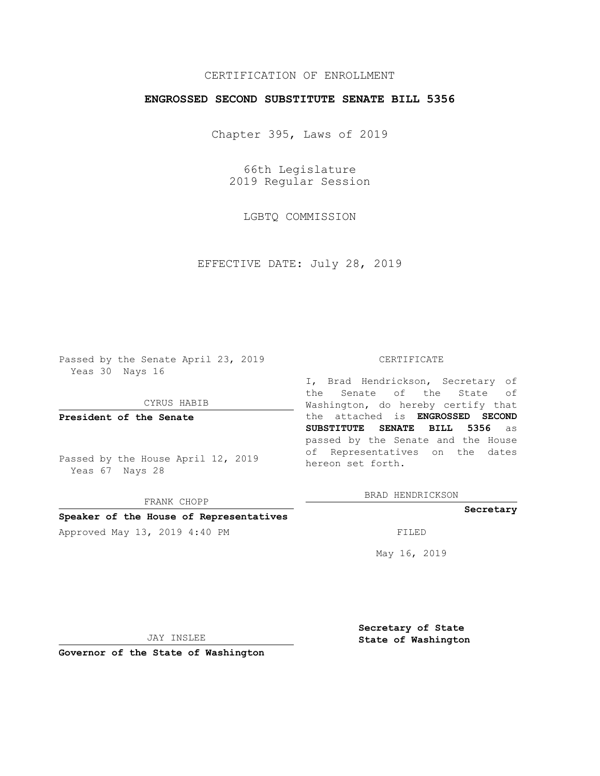# CERTIFICATION OF ENROLLMENT

## **ENGROSSED SECOND SUBSTITUTE SENATE BILL 5356**

Chapter 395, Laws of 2019

66th Legislature 2019 Regular Session

LGBTQ COMMISSION

EFFECTIVE DATE: July 28, 2019

Passed by the Senate April 23, 2019 Yeas 30 Nays 16

CYRUS HABIB

**President of the Senate**

Passed by the House April 12, 2019 Yeas 67 Nays 28

FRANK CHOPP

### **Speaker of the House of Representatives**

Approved May 13, 2019 4:40 PM

#### CERTIFICATE

I, Brad Hendrickson, Secretary of the Senate of the State of Washington, do hereby certify that the attached is **ENGROSSED SECOND SUBSTITUTE SENATE BILL 5356** as passed by the Senate and the House of Representatives on the dates hereon set forth.

BRAD HENDRICKSON

## **Secretary**

May 16, 2019

JAY INSLEE

**Governor of the State of Washington**

**Secretary of State State of Washington**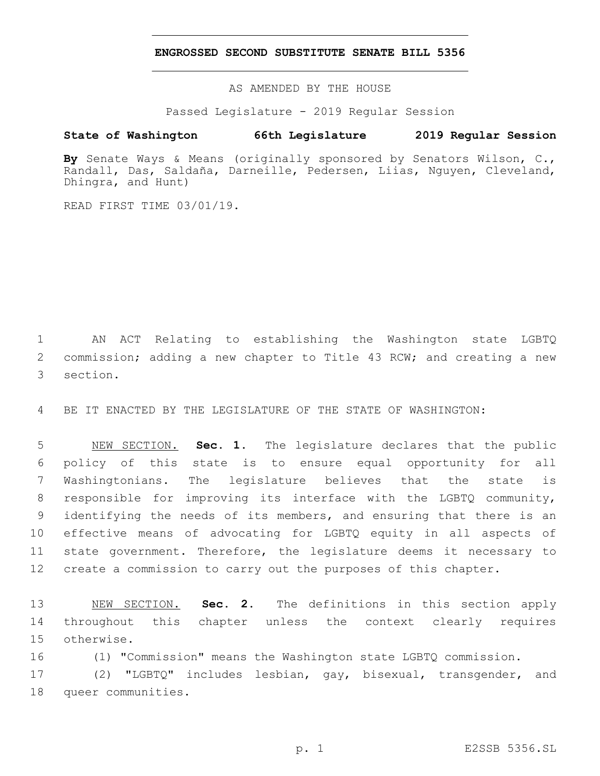## **ENGROSSED SECOND SUBSTITUTE SENATE BILL 5356**

AS AMENDED BY THE HOUSE

Passed Legislature - 2019 Regular Session

# **State of Washington 66th Legislature 2019 Regular Session**

**By** Senate Ways & Means (originally sponsored by Senators Wilson, C., Randall, Das, Saldaña, Darneille, Pedersen, Liias, Nguyen, Cleveland, Dhingra, and Hunt)

READ FIRST TIME 03/01/19.

1 AN ACT Relating to establishing the Washington state LGBTQ 2 commission; adding a new chapter to Title 43 RCW; and creating a new 3 section.

4 BE IT ENACTED BY THE LEGISLATURE OF THE STATE OF WASHINGTON:

 NEW SECTION. **Sec. 1.** The legislature declares that the public policy of this state is to ensure equal opportunity for all Washingtonians. The legislature believes that the state is responsible for improving its interface with the LGBTQ community, identifying the needs of its members, and ensuring that there is an effective means of advocating for LGBTQ equity in all aspects of state government. Therefore, the legislature deems it necessary to create a commission to carry out the purposes of this chapter.

13 NEW SECTION. **Sec. 2.** The definitions in this section apply 14 throughout this chapter unless the context clearly requires 15 otherwise.

16 (1) "Commission" means the Washington state LGBTQ commission.

17 (2) "LGBTQ" includes lesbian, gay, bisexual, transgender, and 18 queer communities.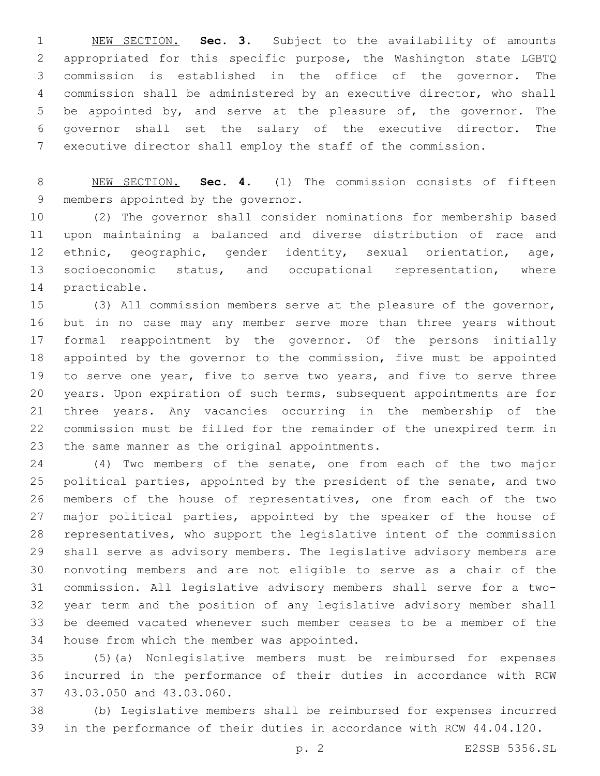NEW SECTION. **Sec. 3.** Subject to the availability of amounts appropriated for this specific purpose, the Washington state LGBTQ commission is established in the office of the governor. The commission shall be administered by an executive director, who shall be appointed by, and serve at the pleasure of, the governor. The governor shall set the salary of the executive director. The executive director shall employ the staff of the commission.

 NEW SECTION. **Sec. 4.** (1) The commission consists of fifteen members appointed by the governor.

 (2) The governor shall consider nominations for membership based upon maintaining a balanced and diverse distribution of race and ethnic, geographic, gender identity, sexual orientation, age, 13 socioeconomic status, and occupational representation, where 14 practicable.

 (3) All commission members serve at the pleasure of the governor, but in no case may any member serve more than three years without formal reappointment by the governor. Of the persons initially appointed by the governor to the commission, five must be appointed 19 to serve one year, five to serve two years, and five to serve three years. Upon expiration of such terms, subsequent appointments are for three years. Any vacancies occurring in the membership of the commission must be filled for the remainder of the unexpired term in 23 the same manner as the original appointments.

 (4) Two members of the senate, one from each of the two major political parties, appointed by the president of the senate, and two members of the house of representatives, one from each of the two 27 major political parties, appointed by the speaker of the house of representatives, who support the legislative intent of the commission shall serve as advisory members. The legislative advisory members are nonvoting members and are not eligible to serve as a chair of the commission. All legislative advisory members shall serve for a two- year term and the position of any legislative advisory member shall be deemed vacated whenever such member ceases to be a member of the 34 house from which the member was appointed.

 (5)(a) Nonlegislative members must be reimbursed for expenses incurred in the performance of their duties in accordance with RCW 37 43.03.050 and 43.03.060.

 (b) Legislative members shall be reimbursed for expenses incurred in the performance of their duties in accordance with RCW 44.04.120.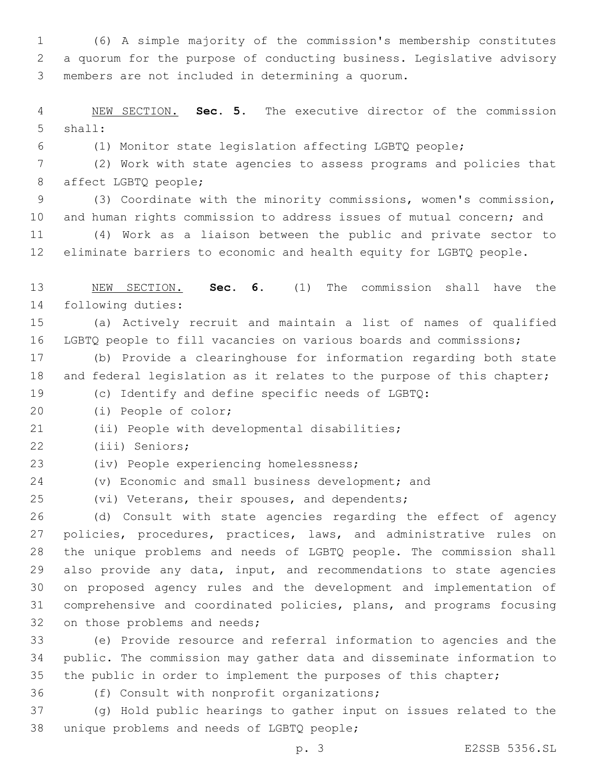(6) A simple majority of the commission's membership constitutes a quorum for the purpose of conducting business. Legislative advisory members are not included in determining a quorum.3

 NEW SECTION. **Sec. 5.** The executive director of the commission shall:

(1) Monitor state legislation affecting LGBTQ people;

 (2) Work with state agencies to assess programs and policies that 8 affect LGBTQ people;

 (3) Coordinate with the minority commissions, women's commission, and human rights commission to address issues of mutual concern; and

 (4) Work as a liaison between the public and private sector to eliminate barriers to economic and health equity for LGBTQ people.

 NEW SECTION. **Sec. 6.** (1) The commission shall have the following duties:

 (a) Actively recruit and maintain a list of names of qualified LGBTQ people to fill vacancies on various boards and commissions;

 (b) Provide a clearinghouse for information regarding both state 18 and federal legislation as it relates to the purpose of this chapter;

(c) Identify and define specific needs of LGBTQ:

20 (i) People of color;

21 (ii) People with developmental disabilities;

(iii) Seniors;22

(iv) People experiencing homelessness;23

(v) Economic and small business development; and

25 (vi) Veterans, their spouses, and dependents;

 (d) Consult with state agencies regarding the effect of agency policies, procedures, practices, laws, and administrative rules on the unique problems and needs of LGBTQ people. The commission shall also provide any data, input, and recommendations to state agencies on proposed agency rules and the development and implementation of comprehensive and coordinated policies, plans, and programs focusing 32 on those problems and needs;

 (e) Provide resource and referral information to agencies and the public. The commission may gather data and disseminate information to the public in order to implement the purposes of this chapter;

36 (f) Consult with nonprofit organizations;

 (g) Hold public hearings to gather input on issues related to the 38 unique problems and needs of LGBTQ people;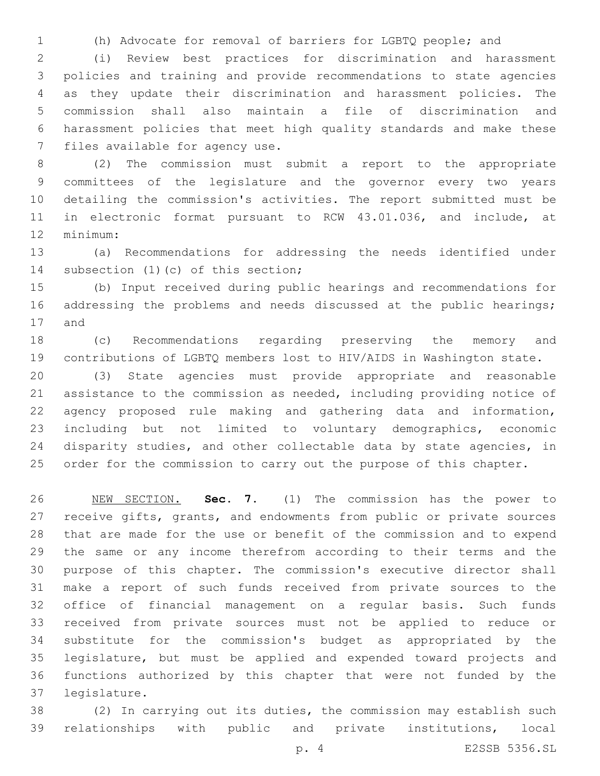(h) Advocate for removal of barriers for LGBTQ people; and

 (i) Review best practices for discrimination and harassment policies and training and provide recommendations to state agencies as they update their discrimination and harassment policies. The commission shall also maintain a file of discrimination and harassment policies that meet high quality standards and make these 7 files available for agency use.

 (2) The commission must submit a report to the appropriate committees of the legislature and the governor every two years detailing the commission's activities. The report submitted must be in electronic format pursuant to RCW 43.01.036, and include, at 12 minimum:

 (a) Recommendations for addressing the needs identified under 14 subsection (1)(c) of this section;

 (b) Input received during public hearings and recommendations for 16 addressing the problems and needs discussed at the public hearings; 17 and

 (c) Recommendations regarding preserving the memory and contributions of LGBTQ members lost to HIV/AIDS in Washington state.

 (3) State agencies must provide appropriate and reasonable assistance to the commission as needed, including providing notice of agency proposed rule making and gathering data and information, including but not limited to voluntary demographics, economic 24 disparity studies, and other collectable data by state agencies, in 25 order for the commission to carry out the purpose of this chapter.

 NEW SECTION. **Sec. 7.** (1) The commission has the power to receive gifts, grants, and endowments from public or private sources that are made for the use or benefit of the commission and to expend the same or any income therefrom according to their terms and the purpose of this chapter. The commission's executive director shall make a report of such funds received from private sources to the office of financial management on a regular basis. Such funds received from private sources must not be applied to reduce or substitute for the commission's budget as appropriated by the legislature, but must be applied and expended toward projects and functions authorized by this chapter that were not funded by the legislature.

 (2) In carrying out its duties, the commission may establish such relationships with public and private institutions, local

p. 4 E2SSB 5356.SL